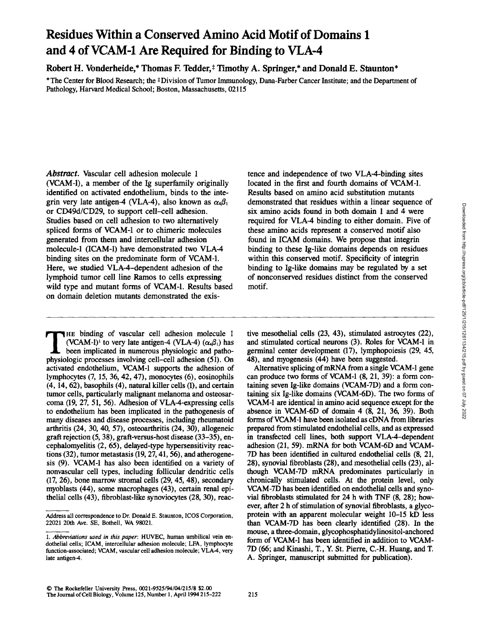# **Residues Within a Conserved Amino Acid Motif of Domains 1 and 4 of VCAM-1 Are Required for Binding to VLA-4**

Robert H. Vonderheide,\* Thomas F. Tedder,<sup>‡</sup> Timothy A. Springer,\* and Donald E. Staunton\*

\* The Center for Blood Research; the #Division of Tumor Immunology, Dana-Farber Cancer Institute; and the Department of Pathology, Harvard Medical School; Boston, Massachusetts, 02115

*Abstract.* Vascular cell adhesion molecule 1 (VCAM-1), a member of the Ig superfamily originally identified on activated endothelium, binds to the integrin very late antigen-4 (VLA-4), also known as  $\alpha_4\beta_1$ or CD49d/CD29, to support cell-cell adhesion. Studies based on cell adhesion to two alternatively spliced forms of VCAM-1 or to chimeric molecules generated from them and intercellular adhesion molecule-1 (ICAM-1) have demonstrated two VLA-4 binding sites on the predominate form of VCAM-1. Here, we studied VLA-4-dependent adhesion of the lymphoid tumor cell line Ramos to cells expressing wild type and mutant forms of VCAM-1. Results based on domain deletion mutants demonstrated the exis-

**THE binding of vascular cell adhesion molecule 1**<br>(VCAM-1)<sup>1</sup> to very late antigen-4 (VLA-4)  $(\alpha_4\beta_1)$  has<br>been implicated in numerous physiologic and patho-<br>physiologic processes involving cell cell edhesion (51). On (VCAM-1)<sup>t</sup> to very late antigen-4 (VLA-4)  $(\alpha_4\beta_1)$  has been implicated in numerous physiologic and pathophysiologic processes involving cell-cell adhesion (51). On activated endothelium, VCAM-1 supports the adhesion of lymphocytes (7, 15, 36, 42, 47), monocytes (6), eosinophils (4, 14, 62), basophils (4), natural killer cells (1), and certain tumor cells, particularly malignant melanoma and osteosarcoma (19, 27, 51, 56). Adhesion of VLA-4-expressing cells to endothelium has been implicated in the pathogenesis of many diseases and disease processes, including rheumatoid arthritis (24, 30, 40, 57), osteoarthritis (24, 30), allogeneic graft rejection (5, 38), graft-versus-host disease (33-35), encephalomyelitis (2, 65), delayed-type hypersensitivity reactions (32), tumor metastasis (19, 27, 41, 56), and atherogenesis (9). VCAM-1 has also been identified on a variety of nonvascular cell types, including follicular dendritic cells (17, 26), bone marrow stromal cells (29, 45, 48), secondary myoblasts (44), some macrophages (43), certain renal epithelial cells (43), fibroblast-like synoviocytes (28, 30), reactence and independence of two VLA-4-binding sites located in the first and fourth domains of VCAM-1. Results based on amino acid substitution mutants demonstrated that residues within a linear sequence of six amino acids found in both domain 1 and 4 were required for VLA-4 binding to either domain. Five of these amino acids represent a conserved motif also found in ICAM domains. We propose that integrin binding to these Ig-like domains depends on residues within this conserved motif. Specificity of integrin binding to Ig-like domains may be regulated by a set of nonconserved residues distinct from the conserved motif.

tive mesothelial cells (23, 43), stimulated astrocytes (22), and stimulated cortical neurons (3). Roles for VCAM-1 in germinal center development (17), lymphopoiesis (29, 45, 48), and myogenesis (44) have been suggested.

Alternative splicing of mRNA from a single VCAM-1 gene can produce two forms of VCAM-1 (8, 21, 39): a form containing seven Ig-like domains (VCAM-7D) and a form containing six Ig-like domains (VCAM-6D). The two forms of VCAM-1 are identical in amino acid sequence except for the absence in VCAM-6D of domain 4 (8, 21, 36, 39). Both forms of VCAM-1 have been isolated as *eDNA* from libraries prepared from stimulated endothelial cells, and as expressed in transfected cell lines, both support VLA-4-dependent adhesion (21, 59). mRNA for both VCAM-6D and VCAM-7D has been identified in cultured endothelial cells (8, 21, 28), synovial fibroblasts (28), and mesothelial cells (23), although VCAM-7D mRNA predominates particularly in chronically stimulated cells. At the protein level, only VCAM-7D has been identified on endothelial cells and synovial fibroblasts stimulated for 24 h with TNF (8, 28); however, after 2 h of stimulation of synovial fibroblasts, a glycoprotein with an apparent molecular weight 10-15 kD less than VCAM-7D has been clearly identified (28). In the mouse, a three-domain, glyeophosphatidylinositol-anchored form of VCAM-1 has been identified in addition to VCAM-7D (66; and Kinashi, T., Y. St. Pierre, C.-H. Huang, and T. A. Springer, manuscript submitted for publication).

Address all correspondence to Dr. Donald E. Staunton, ICOS Corporation, 22021 20th Ave. SE, Bothell, WA 98021.

*<sup>1.</sup> Abbreviations used in this paper:* HUVEC, human umbilical vein endothelial cells; ICAM, intercellular adhesion molecule; LFA, lymphocyte function-associated; VCAM, vascular cell adhesion molecule; VLA-4, very late antigen-4.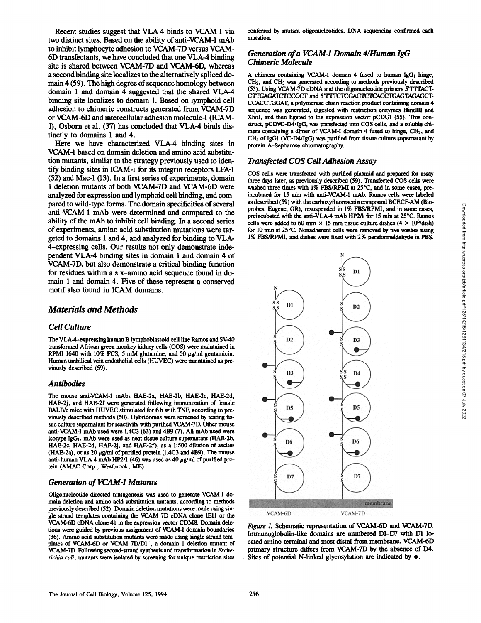Recent studies suggest that VLA-4 binds to VCAM-1 via two distinct sites. Based on the ability of anti-VCAM-1 mAb to inhibit lymphocyte adhesion to VCAM-TD versus VCAM-6D transfectants, we have concluded that one VLA-4 binding site is shared between VCAM-7D and VCAM-6D, whereas a second binding site localizes to the alternatively spliced domain 4 (59). The high degree of sequence homology between domain 1 and domain 4 suggested that the shared VLA-4 binding site localizes to domain 1. Based on lymphoid cell adhesion to chimeric constructs generated from VCAM-7D or VCAM-6D and intercellular adhesion molecule-I (ICAM-1), Osborn et al. (37) has concluded that VLA-4 binds distinctly to domains 1 and 4.

Here we have characterized VLA-4 binding sites in VCAM-1 based on domain deletion and amino acid substitution mutants, similar to the strategy previously used to identify binding sites in ICAM-1 for its integrin receptors LFA-I (52) and Mac-1 (13). In a first series of experiments, domain 1 deletion mutants of both VCAM-7D and VCAM-6D were analyzed for expression and lymphoid cell binding, and compared to wild-type forms. The domain specificities of several anti-VCAM-1 mAb were determined and compared to the ability of the mAb to inhibit cell binding. In a second series of experiments, amino acid substitution mutations were targeted to domains 1 and 4, and analyzed for binding to VLA-4-expressing cells. Our results not only demonstrate independent VLA-4 binding sites in domain 1 and domain 4 of VCAM-7D, but also demonstrate a critical binding function for residues within a six-amino acid sequence found in domain 1 and domain 4. Five of these represent a conserved motif also found in ICAM domains.

# *Materials and Methods*

#### *Cell Culture*

The VLA-4-expressing human B lymphoblastoid cell line Ramos and SV-40 transformed African green monkey kidney cells (COS) were maintained in RPMI 1640 with 10% FCS, 5 mM glutamine, and 50  $\mu$ g/ml gentamicin. Human umbilical vein endothelial cells (HUVEC) were maintained as previously described (59).

#### *Antibodies*

The mouse anti-VCAM-1 mAbs HAE-2a, HAE-2b, HAE-2c, HAE-2d, HAE-2j, and HAE-2f were generated following immunization of female BALB/c mice with HUVEC stimulated for 6 h with TNF, according to previously described methods (50). Hybridomas were screened by testing tissue culture supernatant for reactivity with purified VCAM-7D. Other mouse anti-VCAM-1 mAb used were 1.4C3 (63) and 4B9 (7). All mAb used were isotype IgG1. mAb were used as neat tissue culture supernatant (HAE-2b, HAE-2c, HAE-2d, HAE-2j, and HAE-2f), as a 1:500 dilution of ascites  $(HAE-2a)$ , or as 20  $\mu$ g/ml of purified protein (1.4C3 and 4B9). The mouse anti-human VLA-4 mAb HP2/1 (46) was used as 40  $\mu$ g/ml of purified protein (AMAC Corp., Westbrook, ME).

#### *Generation of VCAM-1 Mutants*

Ollgonucleotide-directed mutagenesis was used to generate VCAM-I domain deletion and amino acid substitution mutants, according to methods previously described (52). Domain deletion mutations were made using single strand templates containing the VCAM 7D cDNA clone 1Ell or the VCAM-6D cDNA clone 41 in the expression vector CDM8. Domain deletions were guided by previous assignment of VCAM-1 domain boundaries (36). Amino acid substitution mutants were made using single strand templates of VCAM-6D or VCAM 7D/D1<sup>-</sup>, a domain 1 deletion mutant of VCAM-7D. Following second-strand synthesis and transformation in Esche*richia coil,* mutants were isolated by screening for unique restriction sites

conferred by mutant oligonucleotides. DNA sequencing confirmed each mutation.

#### *Generation of a VCAM-I Domain 4~Human IgG Chimeric Molecule*

A chimera containing VCAM-1 domain 4 fused to human  $I_{\mathcal{B}}G_1$  hinge, CH2, and CH3 was generated according to methods previously described (55). Using W.AM-7D cDNA and the ollgonucleotide primers 5°TTTACT - GTTGAGATCTCCCCT and 5'TTTCTCGAGTCTCACCTGAGTAGAGCT-CCACCTGGAT, a polymerase chain reaction product containing domain 4 sequence was generated, digested with restriction enzymes HindIII and XhoI, and then ligated to the expression vector pCDG1 (55). This construct, pCDVC-D4/IgG, was transfected into COS cells, and a soluble chimera containing a dimer of VCAM-1 domain 4 fused to hinge, CH<sub>2</sub>, and CH3 of IgG1 (VC-D4/IgG) was purified from tissue culture supernatant by protein A-Sepharose chromatography.

#### *Transfected COS Celi Adhesion Assay*

COS cells were transfected with purified plasmid and prepared for assay three days later, as previously described (59). Transfected COS cells were washed three times with 1% FBS/RPMI at 25°C, and in some cases, preincubated for 15 min with anti-W.AM-1 mAb. Ramos cells were labeled as described (59) with the carboxyfluorescein compound BCECF-AM (Bioprobes, Eugene, OR), resuspended in 1% FBS/RPMI, and in some cases, preincubated with the anti-VLA-4 mAb HP2/I for 15 min at 25°C. Ramos cells were added to 60 mm  $\times$  15 mm tissue culture dishes (4  $\times$  10<sup>6</sup>/dish) for 10 min at 25°C. Nonadherem cells were removed by five washes using 1% FBS/RPMI, and dishes were fixed with 2% paraformaldehyde in PBS.



*Figure 1.* Schematic representation of VCAM-6D and VCAM-7D. Immunoglobulin-like domains are numbered D1-D7 with DI located amino-terminal and most distal from membrane. VCAM-6D primary structure differs from VCAM-7D by the absence of D4. Sites of potential N-linked glycosylation are indicated by  $\bullet$ .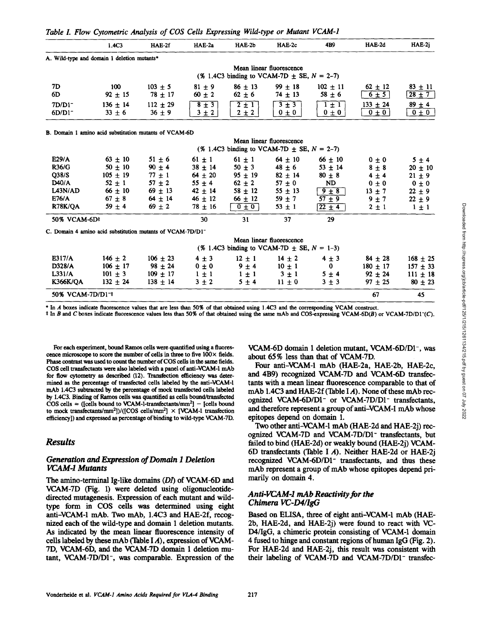|                                                                        | 1.4C <sub>3</sub>        | HAE-2f       | HAE-2a      | HAE-2b                                            | HAE-2c                   | 4B9                     | HAE-2d       | $HAE-2i$     |
|------------------------------------------------------------------------|--------------------------|--------------|-------------|---------------------------------------------------|--------------------------|-------------------------|--------------|--------------|
| A. Wild-type and domain 1 deletion mutants*                            |                          |              |             |                                                   |                          |                         |              |              |
|                                                                        |                          |              |             |                                                   | Mean linear fluorescence |                         |              |              |
|                                                                        |                          |              |             | (% 1.4C3 binding to VCAM-7D $\pm$ SE, $N = 2-7$ ) |                          |                         |              |              |
| 7D                                                                     | 100                      | $103 + 5$    | $81 \pm 9$  | $86 \pm 13$                                       | $99 + 18$                | $102 + 11$              | $62 \pm 12$  | $83 \pm 11$  |
| 6D                                                                     | $92 \pm 15$              | $78 \pm 17$  | $60 \pm 2$  | $62 \pm 6$                                        | $74 \pm 13$              | $58 \pm 6$              | $6 + 5$      | $28 \pm 7$   |
| 7D/D1                                                                  | $136 \pm 14$             | $112 + 29$   | $8 \pm 3$   | $2 \pm 1$                                         | $3 \pm 3$                | $\pm 1$<br>$\mathbf{1}$ | $133 \pm 24$ | $89 \pm 4$   |
| $6D/D1^-$                                                              | $33 \pm 6$               | $36 \pm 9$   | $3 \pm 2$   | $2 + 2$                                           | $0 \pm 0$                | $0 \pm 0$               | $0 \pm 0$    | $0 \pm 0$    |
| B. Domain 1 amino acid substitution mutants of VCAM-6D                 |                          |              |             |                                                   |                          |                         |              |              |
|                                                                        | Mean linear fluorescence |              |             |                                                   |                          |                         |              |              |
|                                                                        |                          |              |             | (% 1.4C3 binding to VCAM-7D $\pm$ SE, $N = 2-7$ ) |                          |                         |              |              |
| E29/A                                                                  | $63 \pm 10$              | $51 \pm 6$   | $61 \pm 1$  | $61 \pm 1$                                        | $64 \pm 10$              | $66 \pm 10$             | $0\pm 0$     | $5 \pm 4$    |
| <b>R36/G</b>                                                           | $50 \pm 10$              | $90 \pm 4$   | $38 + 14$   | $50 + 3$                                          | $48 \pm 6$               | $53 + 14$               | $8+8$        | $20 \pm 10$  |
| Q38/S                                                                  | $105 \pm 19$             | $77 \pm 1$   | $64 \pm 20$ | $95 \pm 19$                                       | $82 \pm 14$              | $80 \pm 8$              | $4 + 4$      | $21 + 9$     |
| D40/A                                                                  | $52 \pm 1$               | $57 + 2$     | $55 \pm 4$  | $62 \pm 2$                                        | $57 \pm 0$               | <b>ND</b>               | $0+0$        | $0 \pm 0$    |
| L43N/AD                                                                | $66 \pm 10$              | $69 \pm 13$  | $42 \pm 14$ | $58 \pm 12$                                       | $55 + 13$                | $9 \pm 8$               | $13 + 7$     | $22 \pm 9$   |
| E76/A                                                                  | $67 \pm 8$               | $64 \pm 14$  | $46 \pm 12$ | $66 \pm 12$                                       | $59 \pm 7$               | $57 + 9$                | $9 \pm 7$    | $22 \pm 9$   |
| R78K/QA                                                                | $59 \pm 4$               | $69 \pm 2$   | $78 \pm 16$ | $0 \pm 0$                                         | $53 \pm 1$               | $\sqrt{22 \pm 4}$       | $2 \pm 1$    | $1 \pm 1$    |
| 50% VCAM-6D#                                                           |                          |              | 30          | 31                                                | 37                       | 29                      |              |              |
| C. Domain 4 amino acid substitution mutants of VCAM-7D/D1 <sup>-</sup> |                          |              |             |                                                   |                          |                         |              |              |
|                                                                        | Mean linear fluorescence |              |             |                                                   |                          |                         |              |              |
|                                                                        |                          |              |             | (% 1.4C3 binding to VCAM-7D $\pm$ SE, $N = 1-3$ ) |                          |                         |              |              |
| E317/A                                                                 | $146 + 2$                | $106 \pm 23$ | $4 \pm 3$   | $12 + 1$                                          | $14 + 2$                 | $4 + 3$                 | $84 + 28$    | $168 \pm 25$ |
| D328/A                                                                 | $106 \pm 17$             | $98 \pm 24$  | $0 \pm 0$   | $9 \pm 4$                                         | $10 \pm 1$               | $\bf{0}$                | $180 + 17$   | $157 + 33$   |
| L331/A                                                                 | $101 \pm 3$              | $109 + 17$   | $1 + 1$     | $1 \pm 1$                                         | $3 \pm 1$                | $5 + 4$                 | $92 + 24$    | $111 \pm 18$ |
| <b>K366K/QA</b>                                                        | $132 + 24$               | $138 \pm 14$ | $3 \pm 2$   | $5 + 4$                                           | $11 \pm 0$               | $3 \pm 3$               | $97 + 25$    | $80 \pm 23$  |
| 50% VCAM-7D/D1 <sup>-+</sup>                                           |                          |              |             |                                                   |                          |                         | 67           | 45           |

\* In A boxes indicate fluorescence values that are less than 50% of that obtained using 1.4123 and the corresponding VCAM construct.

\* In B and C boxes indicate fluorescence values less than 50% of that obtained using the same mAb and COS-expressing VCAM-tD(B) or VCAM-7D/DI-(C).

For each experiment, bound Ramos cells were quantified using a fluorescence microscope to score the number of cells in three to five  $100 \times$  fields. Phase contrast was used to count the number of COS cells in the same fields. COS ceil transfectants were also labeled with a panel of anti-VCAM-1 mAb for flow cytometry as described (12). Transfection efficiency was determined as the percentage of transfected cells labeled by the anti-VCAM-1 mAb 1.4C3 subtracted by the percentage of mock transfected ceils labeled by 1.4C3. Binding of Ramos cells was quantified as cells bound/transfected  $COS$  cells = ([cells bound to VCAM-l-transfectants/mm<sup>2</sup>] - [cells bound to mock transfectants/mm<sup>2</sup>])/([COS cells/mm<sup>2</sup>]  $\times$  [VCAM-1 transfection efficiency]) and expressed as percentage of binding to wild-type VCAM-7D.

## *Results*

## *Generation and Expression of Domain 1 Deletion VCAM-1 Mutants*

The amino-terminal Ig-like domains (DI) of VCAM-6D and VCAM-7D (Fig. 1) were deleted using oligonucleotidedirected mutagenesis. Expression of each mutant and wildtype form in COS cells was determined using eight anti-VCAM-1 mAb. Two mAb, 1.4C3 and HAE-2f, recognized each of the wild-type and domain 1 deletion mutants. As indicated by the mean linear fluorescence intensity of cells labeled by these rnAb (Table I *A),* expression of VCAM-7D, VCAM-6D, and the VCAM-7D domain 1 deletion mutant, VCAM-7D/DI-, was comparable. Expression of the

VCAM-6D domain 1 deletion mutant, VCAM-6D/DI-, was about 65 % less than that of VCAM-7D.

Four anti-VCAM-1 mAb (HAE-2a, HAE-2b, HAE-2c, and 4B9) recognized VCAM-7D and VCAM-6D transfectants with a mean linear fluorescence comparable to that of mAb 1.4C3 and HAE-2f (Table I A). None of these mAb recognized VCAM-6D/D1<sup>-</sup> or VCAM-7D/D1<sup>-</sup> transfectants, and therefore represent a group of anti-VCAM-I mAb whose epitopes depend on domain 1.

Two other anti-VCAM-1 mAb (HAE-2d and HAE-2j) recognized VCAM-7D and VCAM-7D/D1- transfectants, but failed to bind (HAE-2d) or weakly bound (HAE-2j) VCAM-6D transfectants (Table I A). Neither HAE-2d or HAE-2j recognized VCAM-6D/D1- transfectants, and thus these mAb represent a group of mAb whose epitopes depend primarily on domain 4.

#### *Anti-VCAM-1 mAb Reactivity for the Chimera VC-D41IgG*

Based on ELISA, three of eight anti-VCAM-1 mAb (HAE-2b, HAE-2d, and HAE-2j) were found to react with VC-D4/IgG, a chimeric protein consisting of VCAM-1 domain 4 fused to hinge and constant regions of human IgG (Fig. 2). For HAE-2d and HAE-2j, this result was consistent with their labeling of VCAM-7D and VCAM-TD/D1- transfec-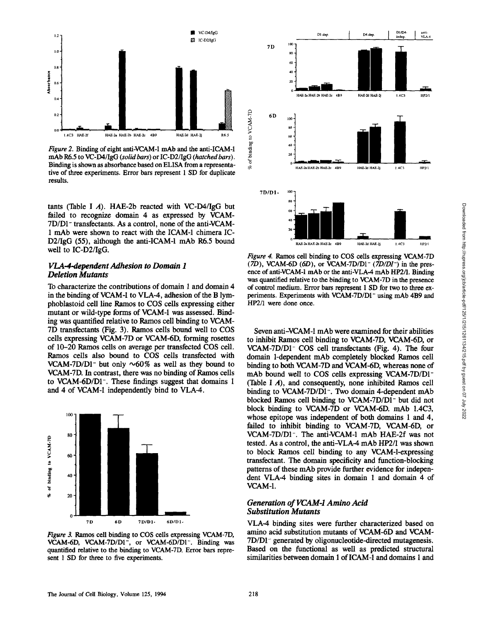

mAb R6.5 to VC-D4/IgG (solid bars) or IC-D2/IgG (hatched bars). Binding is shown as absorbance based on ELISA from a representative of three experiments. Error bars represent 1 SD for duplicate results.

tants (Table I A). HAE-2b reacted with VC-D4/IgG but failed to recognize domain 4 as expressed by VCAM-7D/D1- transfectants. As a control, none of the anti-VCAM-1 mAb were shown to react with the ICAM-1 chimera IC-D2/IgG (55), although the anti-ICAM-1 mAb R6.5 bound well to IC-D2/IgG.

# *VLA-4-dependent Adhesion to Domain 1 Deletion Mutants*

 $1.2$  $\overline{1.0}$ 

 $0.8$ 

 $0.2$ n n

Absorbance  $\mathbf{0}$  $\mathbf{a}$ 

To characterize the contributions of domain 1 and domain 4 in the binding of VCAM-1 to VLA-4, adhesion of the B lymphoblastoid cell line Ramos to COS cells expressing either mutant or wild-type forms of VCAM-1 was assessed. Binding was quantified relative to Ramos cell binding to VCAM-7D transfectants (Fig. 3). Ramos cells bound well to COS cells expressing VCAM-7D or VCAM-6D, forming rosettes of 10-20 Ramos cells on average per transfected COS cell. Ramos cells also bound to COS cells transfected with VCAM-7D/D1<sup>-</sup> but only  $\sim 60\%$  as well as they bound to VCAM-7D. In contrast, there was no binding of Ramos cells to VCAM-6D/D1-. These findings suggest that domains 1 and 4 of VCAM-1 independently bind to VLA-4.



*Figure 3.* Ramos cell binding to COS cells expressing VCAM-7D, VCAM-6D, VCAM-7D/D1<sup>-</sup>, or VCAM-6D/D1<sup>-</sup>. Binding was quantified relative to the binding to VCAM-7D. Error bars represent 1 SD for three to five experiments.



*Figure 4.* Ramos cell binding to COS cells expressing VCAM-TD *(7D),* VCAM-6D *(6D),* or VCAM-7D/D1- *(7D/D1-) in the* presence of anti-VCAM-1 mAb or the anti-VLA-4 mAb HP2/1. Binding was quantified relative to the binding to VCAM-7D in the presence of control medium. Error bars represent 1 SD for two to three experiments. Experiments with VCAM-7D/D1<sup>-</sup> using mAb 4B9 and HP2/1 were done once.

HAE-2a HAE-2b HAE-2c 4B9 HAE-XI HAE-2j 1,4C3 llP2/l

Seven anti-VCAM-1 mAb were examined for their abilities to inhibit Ramos cell binding to VCAM-7D, VCAM-6D, or VCAM-7D/D1- COS cell transfectants (Fig. 4). The four domain 1-dependent mAb completely blocked Ramos cell binding to both VCAM-7D and VCAM-6D, whereas none of mAb bound well to COS cells expressing VCAM-7D/D1- (Table I A), and consequently, none inhibited Ramos cell binding to VCAM-7D/D1<sup>-</sup>. Two domain 4-dependent mAb blocked Ramos cell binding to *VCAM-TD/D1-* but did not block binding to VCAM-7D or VCAM-6D. mAb 1.4C3, whose epitope was independent of both domains 1 and 4, failed to inhibit binding to VCAM-7D, VCAM-6D, or VCAM-7D/DI-, The anti-VCAM-1 mAb HAE-2f was not tested. As a control, the anti-VLA-4 mAb HP2/1 was shown to block Ramos cell binding to any VCAM-l-expressing transfectant. The domain specificity and function-blocking patterns of these mAb provide further evidence for independent VLA-4 binding sites in domain 1 and domain 4 of VCAM-1.

# *Generation of VCAM-1 Amino Acid Substitution Mutants*

VLA-4 binding sites were further characterized based on amino acid substitution mutants of VCAM-6D and VCAM-7D/D1- generated by oligonucleotide-directed mutagenesis. Based on the functional as well as predicted structural similarities between domain 1 of ICAM-1 and domains 1 and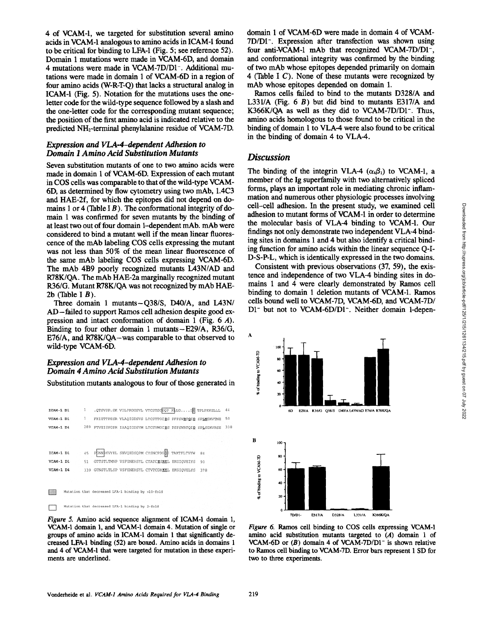4 of VCAM-1, we targeted for substitution several amino acids in VCAM-1 analogous to amino acids in ICAM-1 found to be critical for binding to LFA-1 (Fig. 5; see reference 52). Domain 1 mutations were made in VCAM-6D, and domain 4 mutations were made in VCAM-7D/D1-. Additional mutations were made in domain 1 of VCAM-6D in a region of four amino acids (W-R-T-Q) that lacks a structural analog in ICAM-1 (Fig. 5). Notation for the mutations uses the oneletter code for the wild-type sequence followed by a slash and the one-letter code for the corresponding mutant sequence; the position of the first amino acid is indicated relative to the predicted NH2-terminal phenylalanine residue of VCAM-7D.

### *Expression and VI~-4-dependent Adhesion to Domain 1 Amino Acid Substitution Mutants*

Seven substitution mutants of one to two amino acids were made in domain 1 of VCAM-6D. Expression of each mutant in COS cells was comparable to that of the wild-type VCAM-6D, as determined by flow cytometry using two mAb, 1.4C3 and HAE-2f, for which the epitopes did not depend on domains 1 or 4 (Table I  $B$ ). The conformational integrity of domain 1 was confirmed for seven mutants by the binding of at least two out of four domain 1-dependent mAb. mAb were considered to bind a mutant well if the mean linear fluorescence of the mAb labeling COS cells expressing the mutant was not less than 50% of the mean linear fluorescence of the same mAb labeling COS cells expressing VCAM-6D. The mAb 4B9 poorly recognized mutants L43N/AD and R78K/QA. The mAb HAE-2a marginally recognized mutant R36/G. Mutant R78K/QA was not recognized by mAb HAE-2b (Table I  $B$ ).

Three domain 1 mutants $-\text{Q38/S}$ , D40/A, and L43N/ AD-failed to support Ramos cell adhesion despite good expression and intact conformation of domain  $1$  (Fig. 6 A). Binding to four other domain 1 mutants-E29/A, R36/G, E76/A, and R78K/QA-was comparable to that observed to wild-type VCAM-6D.

# *Expression and VLA-4-dependent Adhesion to Domain 4 Amino Acid Substitution Mutants*

Substitution mutants analogous to four of those generated in

.QTSVSP.SK VILPRGGSVL VTCSTSCDOP KLG....IR TPLPKKELLL 44 TCAM-1 D1 1 FKIETTPESR YLAOIGDSVS LTCSTTGCES PFFSWRTOID SPLNGKVTNE 50 VCAM-1 D1  $VCAM-1$  D4 289 FTVEISFOPR IAAQIGDSVM LTCSVMGCES PSFSWRTQID SPLSGKVRSE 338 ICAM-1 D1 45 PRINKWYEL SNVOEDSOPM CYSNCPDGES TAKTFLTVYW 84 VCAM-1 D1 51 GTTSTLTMNP VSFGNEHSYL CTATCESRKL EKGIOVEIYS 90 VCAM-1 D4 339 GTNSTLTLSP VSFENEHSYL CTVTCGHKKL EKGIQVELYS 378 332 Mutation that decreased LFA-1 binding by >10-fold Mutation that decreased LFA-1 binding by 2-fold  $\sim$ 

*Figure 5.* Amino acid sequence alignment of ICAM-1 domain 1, VCAM-1 domain 1, and VCAM-1 domain 4. Mutation of single or groups of amino acids in ICAM-1 domain 1 that significantly decreased LFA-1 binding (52) are boxed. Amino acids in domains 1 and 4 of VCAM-1 that were targeted for mutation in these experiments are underlined.

domain 1 of VCAM-6D were made in domain 4 of VCAM-7D/D1-. Expression after transfection was shown using four anti-VCAM-1 mAb that recognized VCAM-7D/DI-, and conformational integrity was confirmed by the binding of two mAb whose epitopes depended primarily on domain 4 (Table I C). None of these mutants were recognized by mAb whose epitopes depended on domain 1.

Ramos cells failed to bind to the mutants D328/A and L331/A (Fig.  $6$  B) but did bind to mutants E317/A and K366K/QA as well as they did to VCAM-7D/D1-. Thus, amino acids homologous to those found to be critical in the binding of domain 1 to VLA-4 were also found to be critical in the binding of domain 4 to VLA-4.

# *Discussion*

The binding of the integrin VLA-4  $(\alpha_4\beta_1)$  to VCAM-1, a member of the Ig superfamily with two alternatively spliced forms, plays an important role in mediating chronic inflammation and numerous other physiologic processes involving cell-cell adhesion. In the present study, we examined cell adhesion to mutant forms of VCAM-1 in order to determine the molecular basis of VLA-4 binding to VCAM-1. Our findings not only demonstrate two independent VLA-4 binding sites in domains 1 and 4 but also identify a critical binding function for amino acids within the linear sequence Q-I-D-S-P-L, which is identically expressed in the two domains.

Consistent with previous observations (37, 59), the existence and independence of two VLA-4 binding sites in domains 1 and 4 were clearly demonstrated by Ramos cell binding to domain 1 deletion mutants of VCAM-1. Ramos cells bound well to VCAM-TD, VCAM-6D, and VCAM-TD/ D1<sup>-</sup> but not to VCAM-6D/D1<sup>-</sup>. Neither domain 1-depen-



*Figure 6.* Ramos cell binding to COS ceils expressing VCAM-1 amino acid substitution mutants targeted to (A) domain 1 of VCAM-6D or  $(B)$  domain 4 of VCAM-7D/D1<sup>-</sup> is shown relative to Ramos cell binding to VCAM-7D. Error bars represent 1 SD for two to three experiments.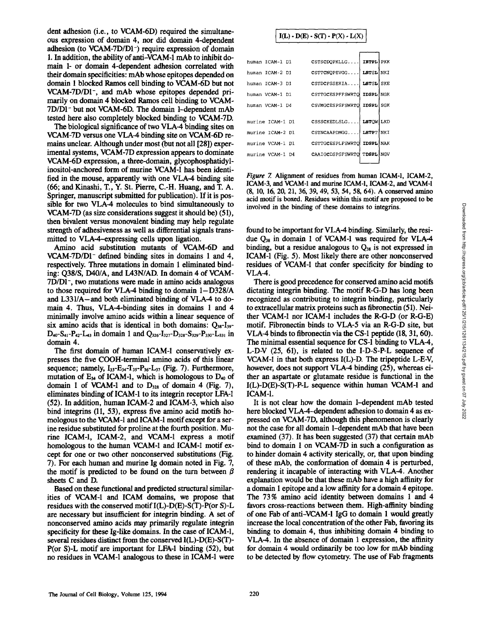dent adhesion (i.e., to VCAM-6D) required the simultaneous expression of domain 4, nor did domain 4-dependent adhesion (to VCAM-7D/D1<sup>-</sup>) require expression of domain 1. In addition, the ability of anti-VCAM-1 mAb to inhibit domain 1- or domain 4-dependent adhesion correlated with their domain speeificities: mAb whose epitopes depended on domain 1 blocked Ramos cell binding to VCAM-6D but not VCAM-7D/DI-, and mAb whose epitopes depended primarily on domain 4 blocked Ramos cell binding to VCAM-7D/D1- but not VCAM-6D. The domain 1-dependent mAb tested here also completely blocked binding to VCAM-7D.

The biological significance of two VLA-4 binding sites on VCAM-7D versus one VLA-4 binding site on VCAM-6D remains unclear. Although under most (but not all [28]) experimental systems, VCAM-7D expression appears to dominate VCAM-6D expression, a three-domain, glycophosphatidylinositol-anchored form of murine VCAM-1 has been identified in the mouse, apparently with one VLA-4 binding site (66; and Kinashi, T., Y. St. Pierre, C.-H. Huang, and T. A. Springer, manuscript submitted for publication). If it is possible for two VLA-4 molecules to bind simultaneously to VCAM-7D (as size considerations suggest it should be) (51), then bivalent versus monovalent binding may help regulate strength of adhesiveness as well as differential signals transmitted to VLA-4-expressing cells upon ligation.

Amino acid substitution mutants of VCAM-6D and VCAM-7D/D1- defined binding sites in domains 1 and 4, respectively. Three mutations in domain 1 eliminated binding: Q38/S, *D40/A,* and L43N/AD. In domain 4 of VCAM-7D/DI-, two mutations were made in amino acids analogous to those required for VLA-4 binding to domain 1-D328/A and L331/A-and both eliminated binding of VLA-4 to domain 4. Thus, VLA-4-binding sites in domains 1 and 4 minimally involve amino acids within a linear sequence of six amino acids that is identical in both domains:  $Q_{38}$ -I<sub>39</sub>- $D_{40} - S_{41} - P_{42} - L_{43}$  in domain 1 and  $Q_{326} - I_{327} - D_{328} - S_{329} - P_{330} - L_{331}$  in domain 4.

The first domain of human ICAM-1 conservatively expresses the five COOH-terminal amino acids of this linear sequence; namely,  $I_{33}$ -E<sub>34</sub>-T<sub>35</sub>-P<sub>36</sub>-L<sub>37</sub> (Fig. 7). Furthermore, mutation of  $E_{34}$  of ICAM-1, which is homologous to  $D_{40}$  of domain 1 of VCAM-1 and to  $D_{328}$  of domain 4 (Fig. 7), eliminates binding of ICAM-1 to its integrin receptor LFA-1 (52). In addition, human ICAM-2 and ICAM-3, which also bind integrins (11, 53), express five amino acid motifs homologous to the VCAM-1 and ICAM-1 motif except for a serine residue substituted for proline at the fourth position. Murine ICAM-1, ICAM-2, and VCAM-1 express a motif homologous to the human VCAM-1 and ICAM-1 motif except for one or two other nonconserved substitutions (Fig. 7). For each human and murine Ig domain noted in Fig. 7, the motif is predicted to be found on the turn between  $\beta$ sheets C and D.

Based on these functional and predicted structural similarities of VCAM-1 and ICAM domains, we propose that residues with the conserved motif I(L)-D(E)-S(T)-P(or S)-L are necessary but insufficient for integrin binding. A set of nonconserved amino acids may primarily regulate integrin specificity for these Ig-like domains. In the case of ICAM-1, several residues distinct from the conserved I(L)-D(E)-S(T)- P(or S)-L motif are important for LFA-1 binding (52), but no residues in VCAM-1 analogous to these in ICAM-1 were

| $I(L) - D(E) - S(T) - P(X) - L(X)$ |
|------------------------------------|
|------------------------------------|

| human ICAM-1 D1  | CSTSCDQPKLLG I IETPL PKK   |  |
|------------------|----------------------------|--|
| human ICAM-2 D1  | CSTTCNOPEVGG   LETSL NKI   |  |
| human ICAM-3 D1  | CSTDCPSSEKIA LETSL SKE     |  |
| human VCAM-1 D1  | CSTTGCESPFFSWRTO IDSPL NGK |  |
| human VCAM-1 D4  | CSVMGCESPSFSWRTO IDSPL SGK |  |
|                  |                            |  |
| murine ICAM-1 D1 | CSSSCKEDLSLG LETOW LKD     |  |
| murine ICAM-2 D1 | CSTNCAAPDMGG LETPT NKI     |  |
| murine VCAM-1 D1 | CSTTGCESPLFSWRTO IDSPL NAK |  |
| murine VCAM-1 D4 | CAAIGCDSPSFSWRTO TDSPL NGV |  |
|                  |                            |  |

*Figure* 7. Alignment of residues from human ICAM-1, ICAM-2, ICAM-3, and VCAM-1 and murine ICAM-1, ICAM-2, and VCAM-1 (8, 10, 16, 20, 21, 36, 39, 49, 53, 54, 58, 64). A conserved amino acid motif is boxed. Residues within this motif are proposed to be involved in the binding of these domains to integrins.

found to be important for VLA-4 binding. Similarly, the residue  $Q_{38}$  in domain 1 of VCAM-1 was required for VLA-4 binding, but a residue analogous to  $Q_{38}$  is not expressed in ICAM-1 (Fig. 5). Most likely there are other nonconserved residues of VCAM-1 that confer specificity for binding to VLA-4.

There is good precedence for conserved amino acid motifs dictating integrin binding. The motif R-G-D has long been recognized as contributing to integrin binding, particularly to extracellular matrix proteins such as fibronectin (51). Neither VCAM-1 nor  $ICAM-1$  includes the R-G-D (or R-G-E) motif. Fibronectin binds to VLA-5 via an R-G-D site, but VLA-4 binds to fibronectin via the CS-1 peptide (18, 31, 60). The minimal essential sequence for CS-1 binding to VLA-4, L-D-V (25, 61), is related to the I-D-S-P-L sequence of VCAM-1 in that both express I(L)-D. The tripeptide L-E-V, however, does not support VLA-4 binding (25), whereas either an aspartate or glutamate residue is functional in the I(L)-D(E)-S(T)-P-L sequence within human VCAM-1 and ICAM-1.

It is not clear how the domain 1-dependent mAb tested here blocked VLA-4--dependent adhesion to domain 4 as expressed on VCAM-7D, although this phenomenon is clearly not the case for all domain 1-dependent mAb that have been examined (37). It has been suggested (37) that certain mAb bind to domain 1 on VCAM-7D in such a configuration as to hinder domain 4 activity sterically, or, that upon binding of these mAb, the conformation of domain 4 is perturbed, rendering it incapable of interacting with VLA-4. Another explanation would be that these mAb have a high affinity for a domain 1 epitope and a low affinity for a domain 4 epitope. The 73% amino acid identity between domains 1 and 4 favors cross-reactions between them. High-affinity binding of one Fab of anti-VCAM-1 IgG to domain 1 would greatly increase the local concentration of the other Fab, favoring its binding to domain 4, thus inhibiting domain 4 binding to VLA-4. In the absence of domain 1 expression, the affinity for domain 4 would ordinarily be too low for mAb binding to be detected by flow cytometry. The use of Fab fragments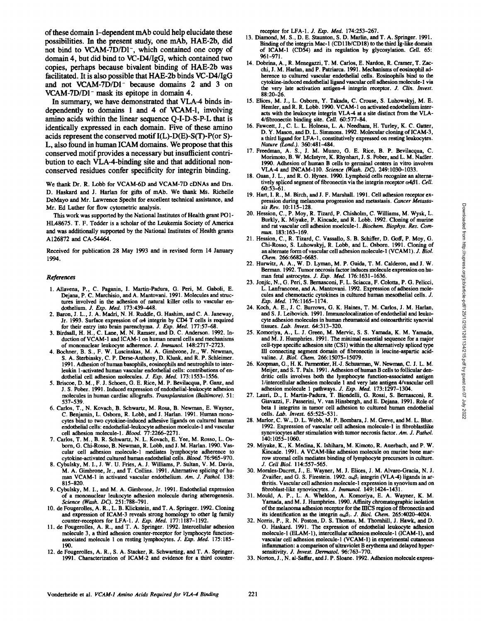**of these domain 1-dependent mAb could help elucidate these possibilities. In the present study, one mAb, HAE-2b, did not bind to VCAM-7D/D1-, which contained one copy of domain 4, but did bind to VC-D4/IgG, which contained two copies, perhaps because bivalent binding of HAE-2b was facilitated. It is also possible that HAE-2b binds VC-D4/IgG and not VCAM-TD/D1- because domains 2 and 3 on VCAM-7D/D1- mask its epitope in domain 4.** 

**In summary, we have demonstrated that VLA-4 binds independently to domains 1 and 4 of VCAM-1, involving amino acids within the linear sequence Q-I-D-S-P-L that is identically expressed in each domain. Five of these amino acids represent the conserved motif I(L)-D(E)-S(T)-P(or S)- L, also found in human ICAM domains. We propose that this conserved motif provides a necessary but insufficient contribution to each VLA-4-binding site and that additional nonconserved residues confer specificity for integrin binding.** 

**We thank Dr. R. Lobb for VCAM-6D and VCAM-7D cDNAs and Drs, D. Haskard and J. Harlan for gifts of mAb. We thank Ms. Ricbelle DeMayo and Mr. Lawrence Specht for excellent technical assistance, and Mr. Ed Luther for flow cytometric analysis.** 

**This work was supported by the National Institutes of Health grant PO 1- HL48675. T. F. Tedder is a scholar of the Leukemia Society of America and was additionally supported by the National Institutes of Health grants A126872 and CA-54464.** 

**Received for publication 28 May 1993 and in revised form 14 January 1994.** 

#### *References*

- 1. Allavena, P., C. Paganin, I. Martin-Padura, G. Peri, M. Gaboli, E. Dejana, P. C. Marchisio, and A. Mantovani. 1991. Molecules and structures involved in the adhesion of natural killer cells to vascular en-
- dothelium. *J. Exp. Med.* 173:439-448. 2. Baron, J. L., J. A. Madri, N. H. Ruddie, G. Hashim, and C. A. Janeway, Jr. 1993. Surface expression of 0~4 integrin by CD4 T cells is required for their entry into brain parenchyma. *J. Exp. Med.* 177:57-68.
- 3. Birdsall, H. H., C. Lane, M. N. Ramser, and D. C. Anderson. 1992. In-duction of VCAM-1 and ICAM- 1 on human neural cells and mechanisms of mononnclear leukocyte adherence. *J. lmmunol.* 148:2717-2723.
- 4. Bechner, B. S., F. W. Luscinskas, M. A. Gimbrone, Jr., W. Newman, S. A. Sterbinsky, C. P. Derse-Anthony, D. Klunk, and R. P. Schieimer. 1991. Adhesion of human hasophils, eosinophils and neutrephils to interleukin 1-activated human vascular endothelial cells: contributions of en-
- dothelial cell adhesion molecules. *J. Exp. Med.* 173:1553-1556.<br>5. Briscoe, D. M., F. J. Schoen, G. E. Rice, M. P. Bevilacqua, P. Ganz, and J. S. Pober. 1991. Induced expression of endothelial-leukocyte adhesion molecules in human cardiac allografts. *Transplantation (Baltimore)*. 51: 537-539.
- 6. Carlos, T., N. Kovach, B. Schwartz, M. Rosa, B. Newman, E. Wayner, C. Benjamin, L. Osborn, R. Lobb, and J. Harlan. 1991. Human monocytes bind to two cytokine-induced adhesive ligands on cultured human endothelial ceils: endothelial-leukocyte adhesion moeicule-1 and vascular cell adhesion molecule-l. *Blood.* 77:2266-2271.
- 7. Carlos, T. M., B. R. Schwartz, N. L. Kovach, E. Yee, M. Rosso, L. Osborn, G. Chi-Rosso, B. Newman, R. Lobb, and J. M. Harlan. 1990. Vascular cell adhesion molecule-1 mediates lymphocyte adherence to cytokine-activated cultured human endothelial cells. Blood. 76:965-970.
- 8. Cybulsky, M. I., J. W. U. Fries, A. J. Williams, P. Sultan, V. M. Davis, M. A. Gimbrone, Jr., and T. Collins. 1991. Alternative splicing of human VCAM-1 in activated vascular endothelium. *Am. J. Pathol.* 138: 815-820.
- **9. Cybulsky, M. I., and M. A.** Glmbrone, Jr. 1991. Endothelial expression of a mononuclear leukocyte adhesion molecule during atheregenesis. *Science (Wash. DC).* 251:788-791.
- 10. de Fougeroiles, A. R., L. B. Klickstein, and T. A. Springer. 1992. Cloning and expression of ICAM-3 reveals strong homology to other Ig family counter-receptors for LFA-1. *J. Exp. Med.* 177:1187-1192.
- 11. de Fougerolles, A. R., and T. A. Springer. 1992. Intercellular adhesion molecule 3, a third adhesion counter-receptor for lymphocyte functionassociated molecule 1 on resting lymphocytes. *Y. Exp. Med.* 175:185- 190.
- 12. de Fougeroiles, A. R., S. A. Stacker, R. Schwarting, and T. A. Springer. 1991. Characterization of ICAM-2 and evidence for a third counter-

receptor for LFA-1. *J. Exp. Med.* 174:253-267.

- 13. Diamond, M. S., D. E. Staanton, S. D. Marlin, and T. A. Springer. 1991. Binding of the integrin Mac-1 (CD1 lb/CD18) to the third Ig-like domain of ICAM-1 (CD54) and its regulation by glycosylation. Cell. 65: 961-971.
- 14. Dobrina, A., R. Menegazzi, T. M. Carlos, E. Nardon, R. Cramer, T. Zacchi, J. M. Harlan, and P. Patriarca. 1991. Mechanisms of eosinophil adherence to cultured vascular endothelial cells. Eosinophils bind to the cytokine-induced endothelial ligand vascular cell adhesion molecule-1 via the very late activation antigen-4 *integrin receptor. J. Clin. Invest.*  88:20-26.
- 15. Elices, M. J., L. Osbore, Y. Takada, C. Crouse, S. Luhowskyj, M. E. Hemler, and R. R. Lobb. 1990. VCAM- 1 on activated endothelium interacts with the leukocyte integrin VLA-4 at a site distinct from the VLA-4/fibronectin binding site. *Cell.* 60:577-84.
- 16. Fawcett, J., C. L. L. Holness, L. A. Needham, H. Turley, K. C. Garter, D. Y. Mason, and D. L. Simmons. 1992. Molecular cloning of ICAM-3, a third ligand for LFA-1, constitutively expressed on resting leukocytes. *Nature (Lond.).* 360:481-484.
- 17. Freedman, A. S., J. M. Munro, G. E. Rice, B. P. Bevilacqua, C. Morlmoto, B. W. McIntyre, K. Rhynhart, J. S. Pober, and L. M. Nadler. 1990. Adhesion of human B cells to germinal centers in vitro involves VLA-4 and INCAM-110. *Science (Wash. DC).* 249:1030-1033.
- 18. Guan, J. L., and R. O. Hynes. 1990. Lymphoid cells recognize an alternatively spliced segment of fibronectin via the integrin receptor  $\alpha$ 4 $\beta$ 1. *Cell.* 60:53-61.
- 19. Hart, I. R., M. Birch, and J. F. Marshall. 1991. Cell adhesion receptor expression during melanoma progression and metastasis. *Cancer Metastasis Rev.* 10:115-128.
- 20. Hession, C., P. Moy, R. Tizard, P. Chisholm, C. Williams, M. Wysk, L. Burkly, K. Miyake, P. Kincade, and R. Lobb. 1992. Cloning of murine and rat vascular ceil adhesion moelcule-l. *Biochem. Biophys. Res. Corn*mun. 183:163-169.
- 21. Hession, C., R. Tizard, C. Vassallo, S. B. Schiffer, D. Goff, P. Moy, G. Chi-Rosso, S. Luhowskyj, R. Lobb, and L. Osborn. 1991. Cloning of an alternate form of vascular cell adhesion molecule-1 (VCAM *1). J. Biol.*  Chem. 266:6682-6685.
- 22. Hurwitz, A. A., W. D. Lyman, M. P. Guida, T. M. Calderon, and J. W. Berman. 1992. Tumor necrosis factor induces molecule expression on human fetal astrocytes. *J. Exp. Med.* 176:1631-1636.
- 23. Jonjíc, N., G. Peri, S. Bernasconi, F. L. Sciacca, F. Colotta, P. G. Pelicci, L. Lanfrancone, and A. Mantovani. 1992. Expression of adhesion molecules and chemotactic cytokines in cultured human mesothelial ceils. J. *Exp. Med.* 176:1165-1174.
- 24. Koch, A. E., J. C. Burrows, G. K. Haines, T. M. Carlos, J. M. Harlan, and S. J. Leibovich. 1991. Immunolocalizafion of endotbelial and leukocyte adhesion molecules in human rheumatoid and osteoarthritic synovial tissues. Lab. *Invest.* 64:313-320.
- 25. Komoriya, A., L. J. Green, M. Mervic, S. S. Yamada, K. M. Yamada, and M. J. Humphries. 1991. The minimal essential sequence for a major ceil-type specific adhesion site (CS1) within the alternatively spliced type HI connecting segment domain of fibronectin is leucine-espartic acidvaline. *J. Biol. Chem.* 266:15075-15079.
- 26. Koopman, G., H. K. Parmentier, H.-J. Schuurman, W. Newman, C. J. L. M. Meijer, and S. T. Pals. 1991. Adhesion of human B cells to follicular dendritic ceils involves both the lymphocyte function-associated antigen 1/intercellular adhesion molecule 1 and very late antigen 4/vescular cell adhesion molecule 1 pathways. *J. Exp. Med.* 173:1297-1304.
- 27. Lauri, D., I. Martin-Padura, T. Biondelli, G. Rossi, S. Bernesconi, R. Giavazzi, F. Passerini, V. van Hinsbergh, and E. Dejana. 1991. Role of beta 1 integrins in tumor ceil adhesion to cultured human endothelial cells. Lab. *Invest.* 65:525-531.
- 28. Marlor, C. W., D. L. Webb, M. P. Bomhara, J. M. Greve, and M. L. Blue. 1992. Expression of vascular cell adhesion molecule-I in fibroblestlike synoviocytes after stimulation with tumor necrosis factor. *Am. J. Pathol.*  140:1055-1060.
- 29. Miyake, K., K. Medina, K. Ishihara, M. Kimoto, R. Auerbach, and P. W. Kincade. 1991. A VCAM-like adhesion molecule on murine bone marrow stromal cells mediates binding of lymphocyte precursors in culture. *J. Cell Biol.* 114:557-565.
- 30. Morales-Ducret, J., E. Wayner, M. J. Elices, J. M. Alvaro-Gracia, N. J. Zvaifler, and G. S. Firestein. 1992.  $\alpha_4\beta_1$  integrin (VLA-4) ligands in arthritis. Vascular cell adhesion mulecule-1 expression in synovium and on fibroblast-like synoviocytes. *J. lmmunol.* 149:1424-1431.
- 31. Mould, A. P., L. A. Wheldon, A. Komoriya, E. A. Wayner, K. M. Yamada, and M. J. Humphries. 1990. Affinity chromatographic isolation of the melanoma adhesion receptor for the IIICS region of fibronectin and its identification as the integrin  $\alpha_4\beta_1$ . J. Biol. Chem. 265:4020-4024.
- 32. Norris, P., R. N. Poston, D. S. Thomas, M. Thornhill, J. Hawk, and D. O. Heskard. 1991. The expression of endothelial leukocyte adhesion molecule-1 (ELAM-1), intercellular adhesion molecule-1 (ICAM-1), and vascular cell adhesion molecule-1 (VCAM-I) in experimental cutaneous inflammation: a comparison of ultraviolet B erythema and delayed hypersensitivity. *J. Invest. Dermatol.* 96:763-770.
- 33. Norton, J., N. al-Saffar, and J. P. Sloane. 1992. Adhesion molecule expres-